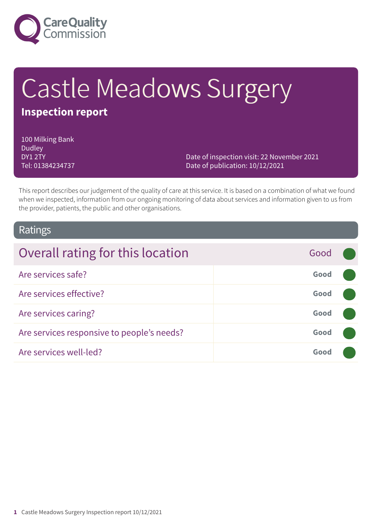

# Castle Meadows Surgery

## **Inspection report**

100 Milking Bank Dudley DY1 2TY Tel: 01384234737

Date of inspection visit: 22 November 2021 Date of publication: 10/12/2021

This report describes our judgement of the quality of care at this service. It is based on a combination of what we found when we inspected, information from our ongoing monitoring of data about services and information given to us from the provider, patients, the public and other organisations.

### Ratings

| Overall rating for this location           | Good |  |
|--------------------------------------------|------|--|
| Are services safe?                         | Good |  |
| Are services effective?                    | Good |  |
| Are services caring?                       | Good |  |
| Are services responsive to people's needs? | Good |  |
| Are services well-led?                     | Good |  |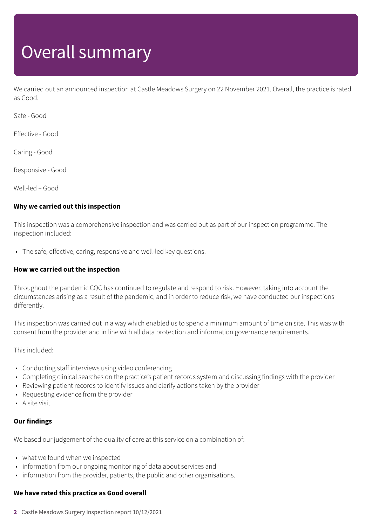# Overall summary

We carried out an announced inspection at Castle Meadows Surgery on 22 November 2021. Overall, the practice is rated as Good.

Safe - Good

Effective - Good

Caring - Good

Responsive - Good

Well-led – Good

### **Why we carried out this inspection**

This inspection was a comprehensive inspection and was carried out as part of our inspection programme. The inspection included:

• The safe, effective, caring, responsive and well-led key questions.

### **How we carried out the inspection**

Throughout the pandemic CQC has continued to regulate and respond to risk. However, taking into account the circumstances arising as a result of the pandemic, and in order to reduce risk, we have conducted our inspections differently.

This inspection was carried out in a way which enabled us to spend a minimum amount of time on site. This was with consent from the provider and in line with all data protection and information governance requirements.

This included:

- Conducting staff interviews using video conferencing
- Completing clinical searches on the practice's patient records system and discussing findings with the provider
- Reviewing patient records to identify issues and clarify actions taken by the provider
- Requesting evidence from the provider
- A site visit

### **Our findings**

We based our judgement of the quality of care at this service on a combination of:

- what we found when we inspected
- information from our ongoing monitoring of data about services and
- information from the provider, patients, the public and other organisations.

### **We have rated this practice as Good overall**

**2** Castle Meadows Surgery Inspection report 10/12/2021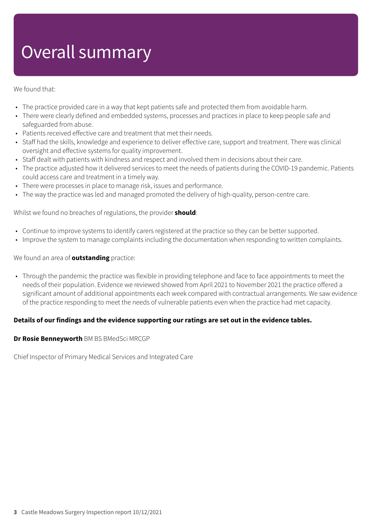# Overall summary

### We found that:

- The practice provided care in a way that kept patients safe and protected them from avoidable harm.
- There were clearly defined and embedded systems, processes and practices in place to keep people safe and safeguarded from abuse.
- Patients received effective care and treatment that met their needs.
- Staff had the skills, knowledge and experience to deliver effective care, support and treatment. There was clinical oversight and effective systems for quality improvement.
- Staff dealt with patients with kindness and respect and involved them in decisions about their care.
- The practice adjusted how it delivered services to meet the needs of patients during the COVID-19 pandemic. Patients could access care and treatment in a timely way.
- There were processes in place to manage risk, issues and performance.
- The way the practice was led and managed promoted the delivery of high-quality, person-centre care.

Whilst we found no breaches of regulations, the provider **should**:

- Continue to improve systems to identify carers registered at the practice so they can be better supported.
- Improve the system to manage complaints including the documentation when responding to written complaints.

### We found an area of **outstanding** practice:

• Through the pandemic the practice was flexible in providing telephone and face to face appointments to meet the needs of their population. Evidence we reviewed showed from April 2021 to November 2021 the practice offered a significant amount of additional appointments each week compared with contractual arrangements. We saw evidence of the practice responding to meet the needs of vulnerable patients even when the practice had met capacity.

### **Details of our findings and the evidence supporting our ratings are set out in the evidence tables.**

### **Dr Rosie Benneyworth** BM BS BMedSci MRCGP

Chief Inspector of Primary Medical Services and Integrated Care